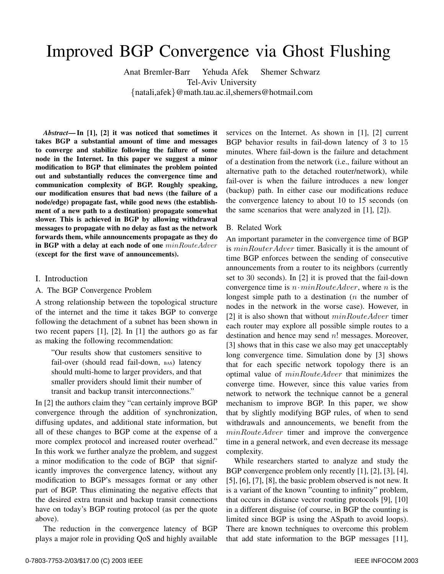# Improved BGP Convergence via Ghost Flushing

Anat Bremler-Barr Yehuda Afek Shemer Schwarz

Tel-Aviv University

*{*natali,afek*}*@math.tau.ac.il,shemers@hotmail.com

*Abstract***— In [1], [2] it was noticed that sometimes it takes BGP a substantial amount of time and messages to converge and stabilize following the failure of some node in the Internet. In this paper we suggest a minor modification to BGP that eliminates the problem pointed out and substantially reduces the convergence time and communication complexity of BGP. Roughly speaking, our modification ensures that bad news (the failure of a node/edge) propagate fast, while good news (the establishment of a new path to a destination) propagate somewhat slower. This is achieved in BGP by allowing withdrawal messages to propagate with no delay as fast as the network forwards them, while announcements propagate as they do in BGP with a delay at each node of one** *minRouteAdver* **(except for the first wave of announcements).**

#### I. Introduction

#### A. The BGP Convergence Problem

A strong relationship between the topological structure of the internet and the time it takes BGP to converge following the detachment of a subnet has been shown in two recent papers  $[1]$ ,  $[2]$ . In  $[1]$  the authors go as far as making the following recommendation:

"Our results show that customers sensitive to fail-over (should read fail-down, BAS) latency should multi-home to larger providers, and that smaller providers should limit their number of transit and backup transit interconnections."

In [2] the authors claim they "can certainly improve BGP convergence through the addition of synchronization, diffusing updates, and additional state information, but all of these changes to BGP come at the expense of a more complex protocol and increased router overhead." In this work we further analyze the problem, and suggest a minor modification to the code of BGP that significantly improves the convergence latency, without any modification to BGP's messages format or any other part of BGP. Thus eliminating the negative effects that the desired extra transit and backup transit connections have on today's BGP routing protocol (as per the quote above).

The reduction in the convergence latency of BGP plays a major role in providing QoS and highly available services on the Internet. As shown in [1], [2] current BGP behavior results in fail-down latency of 3 to 15 minutes. Where fail-down is the failure and detachment of a destination from the network (i.e., failure without an alternative path to the detached router/network), while fail-over is when the failure introduces a new longer (backup) path. In either case our modifications reduce the convergence latency to about 10 to 15 seconds (on the same scenarios that were analyzed in [1], [2]).

#### B. Related Work

An important parameter in the convergence time of BGP is *minRouterAdver* timer. Basically it is the amount of time BGP enforces between the sending of consecutive announcements from a router to its neighbors (currently set to 30 seconds). In [2] it is proved that the fail-down convergence time is *n·minRouteAdver*, where *n* is the longest simple path to a destination (*n* the number of nodes in the network in the worse case). However, in [2] it is also shown that without *minRouteAdver* timer each router may explore all possible simple routes to a destination and hence may send *n*! messages. Moreover, [3] shows that in this case we also may get unacceptably long convergence time. Simulation done by [3] shows that for each specific network topology there is an optimal value of *minRouteAdver* that minimizes the converge time. However, since this value varies from network to network the technique cannot be a general mechanism to improve BGP. In this paper, we show that by slightly modifying BGP rules, of when to send withdrawals and announcements, we benefit from the *minRouteAdver* timer and improve the convergence time in a general network, and even decrease its message complexity.

While researchers started to analyze and study the BGP convergence problem only recently [1], [2], [3], [4], [5], [6], [7], [8], the basic problem observed is not new. It is a variant of the known "counting to infinity" problem, that occurs in distance vector routing protocols [9], [10] in a different disguise (of course, in BGP the counting is limited since BGP is using the ASpath to avoid loops). There are known techniques to overcome this problem that add state information to the BGP messages [11],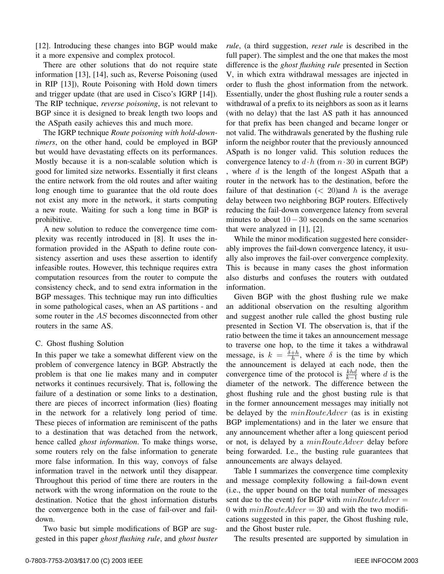[12]. Introducing these changes into BGP would make it a more expensive and complex protocol.

There are other solutions that do not require state information [13], [14], such as, Reverse Poisoning (used in RIP [13]), Route Poisoning with Hold down timers and trigger update (that are used in Cisco's IGRP [14]). The RIP technique, *reverse poisoning*, is not relevant to BGP since it is designed to break length two loops and the ASpath easily achieves this and much more.

The IGRP technique *Route poisoning with hold-downtimers*, on the other hand, could be employed in BGP but would have devastating effects on its performances. Mostly because it is a non-scalable solution which is good for limited size networks. Essentially it first cleans the entire network from the old routes and after waiting long enough time to guarantee that the old route does not exist any more in the network, it starts computing a new route. Waiting for such a long time in BGP is prohibitive.

A new solution to reduce the convergence time complexity was recently introduced in [8]. It uses the information provided in the ASpath to define route consistency assertion and uses these assertion to identify infeasible routes. However, this technique requires extra computation resources from the router to compute the consistency check, and to send extra information in the BGP messages. This technique may run into difficulties in some pathological cases, when an AS partitions - and some router in the *AS* becomes disconnected from other routers in the same AS.

## C. Ghost flushing Solution

In this paper we take a somewhat different view on the problem of convergence latency in BGP. Abstractly the problem is that one lie makes many and in computer networks it continues recursively. That is, following the failure of a destination or some links to a destination, there are pieces of incorrect information (lies) floating in the network for a relatively long period of time. These pieces of information are reminiscent of the paths to a destination that was detached from the network, hence called *ghost information*. To make things worse, some routers rely on the false information to generate more false information. In this way, convoys of false information travel in the network until they disappear. Throughout this period of time there are routers in the network with the wrong information on the route to the destination. Notice that the ghost information disturbs the convergence both in the case of fail-over and faildown.

Two basic but simple modifications of BGP are suggested in this paper *ghost flushing rule*, and *ghost buster* *rule*, (a third suggestion, *reset rule* is described in the full paper). The simplest and the one that makes the most difference is the *ghost flushing rule* presented in Section V, in which extra withdrawal messages are injected in order to flush the ghost information from the network. Essentially, under the ghost flushing rule a router sends a withdrawal of a prefix to its neighbors as soon as it learns (with no delay) that the last AS path it has announced for that prefix has been changed and became longer or not valid. The withdrawals generated by the flushing rule inform the neighbor router that the previously announced ASpath is no longer valid. This solution reduces the convergence latency to  $d \cdot h$  (from  $n \cdot 30$  in current BGP) , where *d* is the length of the longest ASpath that a router in the network has to the destination, before the failure of that destination  $\left($  < 20) and *h* is the average delay between two neighboring BGP routers. Effectively reducing the fail-down convergence latency from several minutes to about 10*−*30 seconds on the same scenarios that were analyzed in [1], [2].

While the minor modification suggested here considerably improves the fail-down convergence latency, it usually also improves the fail-over convergence complexity. This is because in many cases the ghost information also disturbs and confuses the routers with outdated information.

Given BGP with the ghost flushing rule we make an additional observation on the resulting algorithm and suggest another rule called the ghost busting rule presented in Section VI. The observation is, that if the ratio between the time it takes an announcement message to traverse one hop, to the time it takes a withdrawal message, is  $k = \frac{\delta + h}{h}$ , where  $\delta$  is the time by which the announcement is delayed at each node, then the convergence time of the protocol is  $\frac{khd}{k-1}$  where *d* is the diameter of the network. The difference between the ghost flushing rule and the ghost busting rule is that in the former announcement messages may initially not be delayed by the *minRouteAdver* (as is in existing BGP implementations) and in the later we ensure that any announcement whether after a long quiescent period or not, is delayed by a *minRouteAdver* delay before being forwarded. I.e., the busting rule guarantees that announcements are always delayed.

Table I summarizes the convergence time complexity and message complexity following a fail-down event (i.e., the upper bound on the total number of messages sent due to the event) for BGP with  $minRouteAdver =$ 0 with  $minRouteAdver = 30$  and with the two modifications suggested in this paper, the Ghost flushing rule, and the Ghost buster rule.

The results presented are supported by simulation in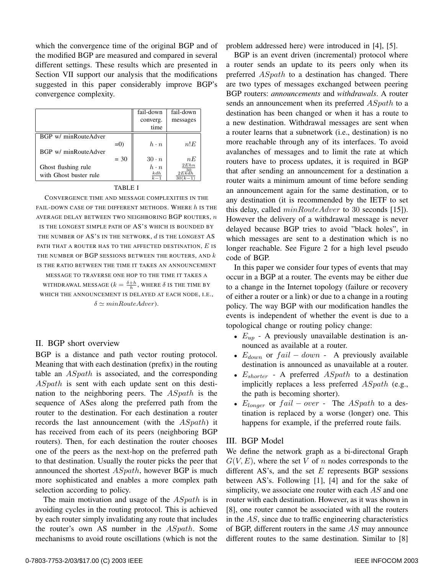which the convergence time of the original BGP and of the modified BGP are measured and compared in several different settings. These results which are presented in Section VII support our analysis that the modifications suggested in this paper considerably improve BGP's convergence complexity.

|                        |        | fail-down<br>converg. | fail-down<br>messages    |
|------------------------|--------|-----------------------|--------------------------|
|                        |        | time                  |                          |
| BGP w/ minRouteAdver   |        |                       |                          |
|                        | $=0$   | $h \cdot n$           | n!E                      |
| BGP w/ minRouteAdver   |        |                       |                          |
|                        | $= 30$ | $30 \cdot n$          | nE                       |
| Ghost flushing rule    |        | $h \cdot n$           | 2Ehn                     |
| with Ghost buster rule |        | k dh<br>$k-1$         | $2E_{k}^{30}$<br>$30(k-$ |

|  | `ABL |  |
|--|------|--|
|  |      |  |

CONVERGENCE TIME AND MESSAGE COMPLEXITIES IN THE FAIL-DOWN CASE OF THE DIFFERENT METHODS. WHERE *h* IS THE AVERAGE DELAY BETWEEN TWO NEIGHBORING BGP ROUTERS, *n* IS THE LONGEST SIMPLE PATH OF AS'S WHICH IS BOUNDED BY THE NUMBER OF AS'S IN THE NETWORK, *d* IS THE LONGEST AS PATH THAT A ROUTER HAS TO THE AFFECTED DESTINATION, *E* IS THE NUMBER OF BGP SESSIONS BETWEEN THE ROUTERS, AND *k* IS THE RATIO BETWEEN THE TIME IT TAKES AN ANNOUNCEMENT

MESSAGE TO TRAVERSE ONE HOP TO THE TIME IT TAKES A WITHDRAWAL MESSAGE ( $k=\frac{\delta+h}{h},$  where  $\delta$  is the time by WHICH THE ANNOUNCEMENT IS DELAYED AT EACH NODE, I.E.,  $\delta \simeq minRouteAdver).$ 

# II. BGP short overview

BGP is a distance and path vector routing protocol. Meaning that with each destination (prefix) in the routing table an *ASpath* is associated, and the corresponding *ASpath* is sent with each update sent on this destination to the neighboring peers. The *ASpath* is the sequence of ASes along the preferred path from the router to the destination. For each destination a router records the last announcement (with the *ASpath*) it has received from each of its peers (neighboring BGP routers). Then, for each destination the router chooses one of the peers as the next-hop on the preferred path to that destination. Usually the router picks the peer that announced the shortest *ASpath*, however BGP is much more sophisticated and enables a more complex path selection according to policy.

The main motivation and usage of the *ASpath* is in avoiding cycles in the routing protocol. This is achieved by each router simply invalidating any route that includes the router's own AS number in the *ASpath*. Some mechanisms to avoid route oscillations (which is not the problem addressed here) were introduced in [4], [5].

BGP is an event driven (incremental) protocol where a router sends an update to its peers only when its preferred *ASpath* to a destination has changed. There are two types of messages exchanged between peering BGP routers: *announcements* and *withdrawals*. A router sends an announcement when its preferred *ASpath* to a destination has been changed or when it has a route to a new destination. Withdrawal messages are sent when a router learns that a subnetwork (i.e., destination) is no more reachable through any of its interfaces. To avoid avalanches of messages and to limit the rate at which routers have to process updates, it is required in BGP that after sending an announcement for a destination a router waits a minimum amount of time before sending an announcement again for the same destination, or to any destination (it is recommended by the IETF to set this delay, called *minRouteAdver* to 30 seconds [15]). However the delivery of a withdrawal message is never delayed because BGP tries to avoid "black holes", in which messages are sent to a destination which is no longer reachable. See Figure 2 for a high level pseudo code of BGP.

In this paper we consider four types of events that may occur in a BGP at a router. The events may be either due to a change in the Internet topology (failure or recovery of either a router or a link) or due to a change in a routing policy. The way BGP with our modification handles the events is independent of whether the event is due to a topological change or routing policy change:

- *• Eup* A previously unavailable destination is announced as available at a router.
- *• Edown* or *f ail − down* A previously available destination is announced as unavailable at a router.
- *• Eshorter* A preferred *ASpath* to a destination implicitly replaces a less preferred *ASpath* (e.g., the path is becoming shorter).
- *• Elonger* or *f ail − over* The *ASpath* to a destination is replaced by a worse (longer) one. This happens for example, if the preferred route fails.

## III. BGP Model

We define the network graph as a bi-directonal Graph  $G(V, E)$ , where the set V of *n* nodes corresponds to the different AS's, and the set *E* represents BGP sessions between AS's. Following [1], [4] and for the sake of simplicity, we associate one router with each *AS* and one router with each destination. However, as it was shown in [8], one router cannot be associated with all the routers in the *AS*, since due to traffic engineering characteristics of BGP, different routers in the same *AS* may announce different routes to the same destination. Similar to [8]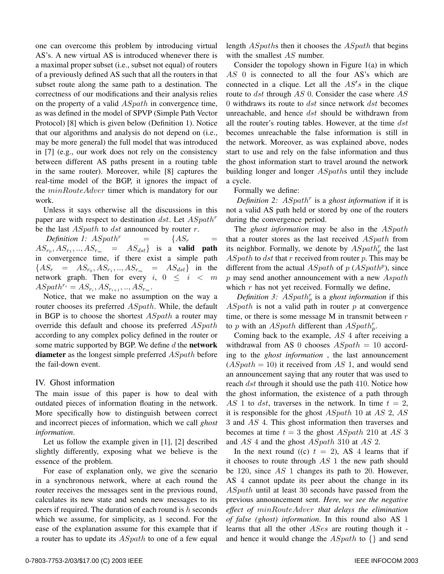one can overcome this problem by introducing virtual AS's. A new virtual AS is introduced whenever there is a maximal proper subset (i.e., subset not equal) of routers of a previously defined AS such that all the routers in that subset route along the same path to a destination. The correctness of our modifications and their analysis relies on the property of a valid *ASpath* in convergence time, as was defined in the model of SPVP (Simple Path Vector Protocol) [8] which is given below (Definition 1). Notice that our algorithms and analysis do not depend on (i.e., may be more general) the full model that was introduced in [7] (e.g., our work does not rely on the consistency between different AS paths present in a routing table in the same router). Moreover, while [8] captures the real-time model of the BGP, it ignores the impact of the *minRouteAdver* timer which is mandatory for our work.

Unless it says otherwise all the discussions in this paper are with respect to destination *dst*. Let *ASpath<sup>r</sup>* be the last *ASpath* to *dst* announced by router *r*.

*Definition 1:*  $ASpath^r = \{AS_p \}$  $AS_{r_0}, AS_{r_1}, \ldots, AS_{r_m} = AS_{dst}$  is a **valid path** in convergence time, if there exist a simple path  ${A}S_r = AS_{r_0}, AS_{r_1},.., AS_{r_m} = AS_{dst}$  in the network graph. Then for every i,  $0 \le i \le m$ network graph. Then for every  $i, 0 \le i <$  $ASpath^{r_i} = AS_{r_i}, AS_{r_{i+1}}, ..., AS_{r_m}.$ 

Notice, that we make no assumption on the way a router chooses its preferred *ASpath*. While, the default in BGP is to choose the shortest *ASpath* a router may override this default and choose its preferred *ASpath* according to any complex policy defined in the router or some matric supported by BGP. We define *d* the **network diameter** as the longest simple preferred *ASpath* before the fail-down event.

# IV. Ghost information

The main issue of this paper is how to deal with outdated pieces of information floating in the network. More specifically how to distinguish between correct and incorrect pieces of information, which we call *ghost information*.

Let us follow the example given in [1], [2] described slightly differently, exposing what we believe is the essence of the problem.

For ease of explanation only, we give the scenario in a synchronous network, where at each round the router receives the messages sent in the previous round, calculates its new state and sends new messages to its peers if required. The duration of each round is *h* seconds which we assume, for simplicity, as 1 second. For the ease of the explanation assume for this example that if a router has to update its *ASpath* to one of a few equal

length *ASpath*s then it chooses the *ASpath* that begins with the smallest *AS* number.

Consider the topology shown in Figure 1(a) in which *AS* 0 is connected to all the four AS's which are connected in a clique. Let all the *AS s* in the clique route to *dst* through *AS* 0. Consider the case where *AS* 0 withdraws its route to *dst* since network *dst* becomes unreachable, and hence *dst* should be withdrawn from all the router's routing tables. However, at the time *dst* becomes unreachable the false information is still in the network. Moreover, as was explained above, nodes start to use and rely on the false information and thus the ghost information start to travel around the network building longer and longer *ASpath*s until they include a cycle.

# Formally we define:

*Definition 2: ASpath<sup>r</sup>* is a *ghost information* if it is not a valid AS path held or stored by one of the routers during the convergence period.

The *ghost information* may be also in the *ASpath* that a router stores as the last received *ASpath* from its neighbor. Formally, we denote by  $ASpath_p^r$  the last *ASpath* to *dst* that *r* received from router *p*. This may be different from the actual *ASpath* of *p* (*ASpathp*), since *p* may send another announcement with a new *Aspath* which *r* has not yet received. Formally we define,

*Definition 3:*  $ASpath_p^r$  is a *ghost information* if this *ASpath* is not a valid path in router *p* at convergence time, or there is some message M in transmit between *r* to *p* with an *ASpath* different than *ASpath<sup>r</sup> p*.

Coming back to the example, *AS* 4 after receiving a withdrawal from AS 0 chooses *ASpath* = 10 according to the *ghost information* , the last announcement  $(ASpath = 10)$  it received from AS 1, and would send an announcement saying that any router that was used to reach *dst* through it should use the path 410. Notice how the ghost information, the existence of a path through  $AS$  1 to *dst*, traverses in the network. In time  $t = 2$ , it is responsible for the ghost *ASpath* 10 at *AS* 2, *AS* 3 and *AS* 4. This ghost information then traverses and becomes at time *t* = 3 the ghost *ASpath* 210 at *AS* 3 and *AS* 4 and the ghost *ASpath* 310 at *AS* 2.

In the next round ((c)  $t = 2$ ), AS 4 learns that if it chooses to route through *AS* 1 the new path should be 120, since *AS* 1 changes its path to 20. However, AS 4 cannot update its peer about the change in its *ASpath* until at least 30 seconds have passed from the previous announcement sent. *Here, we see the negative effect of minRouteAdver that delays the elimination of false (ghost) information*. In this round also AS 1 learns that all the other *ASes* are routing though it and hence it would change the *ASpath* to *{}* and send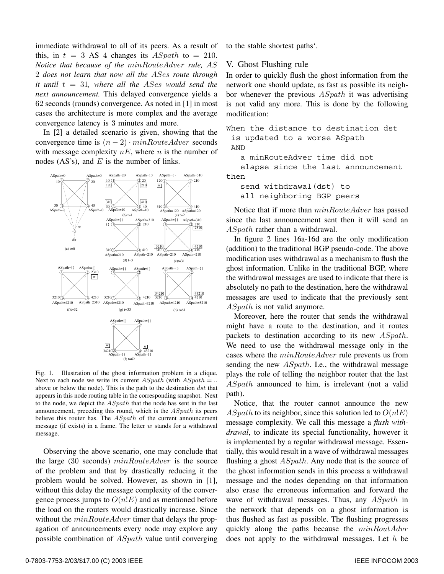immediate withdrawal to all of its peers. As a result of this, in  $t = 3$  AS 4 changes its *ASpath* to = 210. *Notice that because of the minRouteAdver rule, AS* 2 *does not learn that now all the ASes route through it until t* = 31*, where all the ASes would send the next announcement.* This delayed convergence yields a 62 seconds (rounds) convergence. As noted in [1] in most cases the architecture is more complex and the average convergence latency is 3 minutes and more.

In [2] a detailed scenario is given, showing that the convergence time is  $(n-2) \cdot minRouteAdver$  seconds with message complexity *nE*, where *n* is the number of nodes (AS's), and *E* is the number of links.



Fig. 1. Illustration of the ghost information problem in a clique. Next to each node we write its current  $ASpath$  (with  $ASpath =$ ... above or below the node). This is the path to the destination *dst* that appears in this node routing table in the corresponding snapshot. Next to the node, we depict the *ASpath* that the node has sent in the last announcement, preceding this round, which is the *ASpath* its peers believe this router has. The *ASpath* of the current announcement message (if exists) in a frame. The letter *w* stands for a withdrawal message.

Observing the above scenario, one may conclude that the large (30 seconds) *minRouteAdver* is the source of the problem and that by drastically reducing it the problem would be solved. However, as shown in [1], without this delay the message complexity of the convergence process jumps to  $O(n!E)$  and as mentioned before the load on the routers would drastically increase. Since without the *minRouteAdver* timer that delays the propagation of announcements every node may explore any possible combination of *ASpath* value until converging to the stable shortest paths'.

## V. Ghost Flushing rule

In order to quickly flush the ghost information from the network one should update, as fast as possible its neighbor whenever the previous *ASpath* it was advertising is not valid any more. This is done by the following modification:

```
When the distance to destination dst
 is updated to a worse ASpath
AND
   a minRouteAdver time did not
   elapse since the last announcement
then
```
send withdrawal(dst) to all neighboring BGP peers

Notice that if more than *minRouteAdver* has passed since the last announcement sent then it will send an *ASpath* rather than a withdrawal.

In figure 2 lines 16a-16d are the only modification (addition) to the traditional BGP pseudo-code. The above modification uses withdrawal as a mechanism to flush the ghost information. Unlike in the traditional BGP, where the withdrawal messages are used to indicate that there is absolutely no path to the destination, here the withdrawal messages are used to indicate that the previously sent *ASpath* is not valid anymore.

Moreover, here the router that sends the withdrawal might have a route to the destination, and it routes packets to destination according to its new *ASpath*. We need to use the withdrawal message only in the cases where the *minRouteAdver* rule prevents us from sending the new *ASpath*. I.e., the withdrawal message plays the role of telling the neighbor router that the last *ASpath* announced to him, is irrelevant (not a valid path).

Notice, that the router cannot announce the new *ASpath* to its neighbor, since this solution led to *O*(*n*!*E*) message complexity. We call this message a *flush withdrawal*, to indicate its special functionality, however it is implemented by a regular withdrawal message. Essentially, this would result in a wave of withdrawal messages flushing a ghost *ASpath*. Any node that is the source of the ghost information sends in this process a withdrawal message and the nodes depending on that information also erase the erroneous information and forward the wave of withdrawal messages. Thus, any *ASpath* in the network that depends on a ghost information is thus flushed as fast as possible. The flushing progresses quickly along the paths because the *minRoutAdvr* does not apply to the withdrawal messages. Let *h* be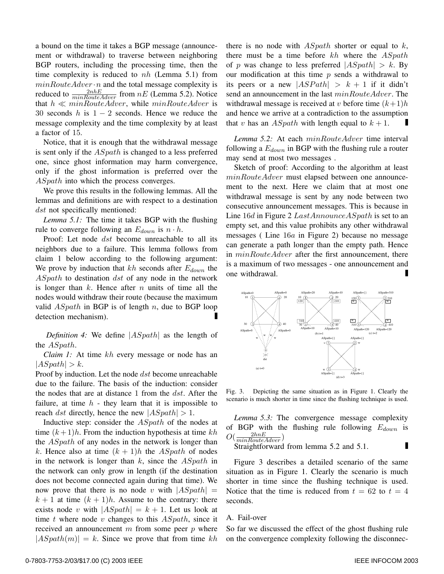a bound on the time it takes a BGP message (announcement or withdrawal) to traverse between neighboring BGP routers, including the processing time, then the time complexity is reduced to *nh* (Lemma 5.1) from *minRouteAdver ·n* and the total message complexity is reduced to <sup>2</sup>*nhE minRouteAdver* from *nE* (Lemma 5.2). Notice that  $h \ll minRouteAdver$ , while  $minRouteAdver$  is 30 seconds *h* is 1 *−* 2 seconds. Hence we reduce the message complexity and the time complexity by at least a factor of 15.

Notice, that it is enough that the withdrawal message is sent only if the *ASpath* is changed to a less preferred one, since ghost information may harm convergence, only if the ghost information is preferred over the *ASpath* into which the process converges.

We prove this results in the following lemmas. All the lemmas and definitions are with respect to a destination *dst* not specifically mentioned:

*Lemma 5.1:* The time it takes BGP with the flushing rule to converge following an  $E_{down}$  is  $n \cdot h$ .

Proof: Let node *dst* become unreachable to all its neighbors due to a failure. This lemma follows from claim 1 below according to the following argument: We prove by induction that *kh* seconds after *Edown* the *ASpath* to destination *dst* of any node in the network is longer than *k*. Hence after *n* units of time all the nodes would withdraw their route (because the maximum valid *ASpath* in BGP is of length *n*, due to BGP loop detection mechanism).

*Definition 4:* We define *|ASpath|* as the length of the *ASpath*.

*Claim 1:* At time *kh* every message or node has an *|ASpath| > k*.

Proof by induction. Let the node *dst* become unreachable due to the failure. The basis of the induction: consider the nodes that are at distance 1 from the *dst*. After the failure, at time *h* - they learn that it is impossible to reach *dst* directly, hence the new *|ASpath| >* 1.

Inductive step: consider the *ASpath* of the nodes at time  $(k+1)h$ . From the induction hypothesis at time  $kh$ the *ASpath* of any nodes in the network is longer than *k*. Hence also at time  $(k + 1)h$  the *ASpath* of nodes in the network is longer than *k*, since the *ASpath* in the network can only grow in length (if the destination does not become connected again during that time). We now prove that there is no node *v* with  $|ASpath|$  =  $k + 1$  at time  $(k + 1)h$ . Assume to the contrary: there exists node *v* with  $|ASpath| = k + 1$ . Let us look at time *t* where node *v* changes to this *ASpath*, since it received an announcement *m* from some peer *p* where  $|ASpath(m)| = k$ . Since we prove that from time *kh* 

there is no node with *ASpath* shorter or equal to *k*, there must be a time before *kh* where the *ASpath* of *p* was change to less preferred  $|ASpath| > k$ . By our modification at this time *p* sends a withdrawal to its peers or a new  $|ASPath| > k + 1$  if it didn't send an announcement in the last *minRouteAdver*. The withdrawal message is received at *v* before time  $(k+1)h$ and hence we arrive at a contradiction to the assumption that *v* has an *ASpath* with length equal to  $k + 1$ .

*Lemma 5.2:* At each *minRouteAdver* time interval following a *Edown* in BGP with the flushing rule a router may send at most two messages .

Sketch of proof: According to the algorithm at least *minRouteAdver* must elapsed between one announcement to the next. Here we claim that at most one withdrawal message is sent by any node between two consecutive announcement messages. This is because in Line 16*d* in Figure 2 *LastAnnounceASpath* is set to an empty set, and this value prohibits any other withdrawal messages ( Line 16*a* in Figure 2) because no message can generate a path longer than the empty path. Hence in *minRouteAdver* after the first announcement, there is a maximum of two messages - one announcement and one withdrawal.



Fig. 3. Depicting the same situation as in Figure 1. Clearly the scenario is much shorter in time since the flushing technique is used.

*Lemma 5.3:* The convergence message complexity of BGP with the flushing rule following  $E_{down}$  is  $O(\frac{2hnE}{\epsilon})$  $O(\frac{2hnE}{minRoweAdver})$ Г

Straightforward from lemma 5.2 and 5.1.

Figure 3 describes a detailed scenario of the same situation as in Figure 1. Clearly the scenario is much shorter in time since the flushing technique is used. Notice that the time is reduced from  $t = 62$  to  $t = 4$ seconds.

#### A. Fail-over

So far we discussed the effect of the ghost flushing rule on the convergence complexity following the disconnec-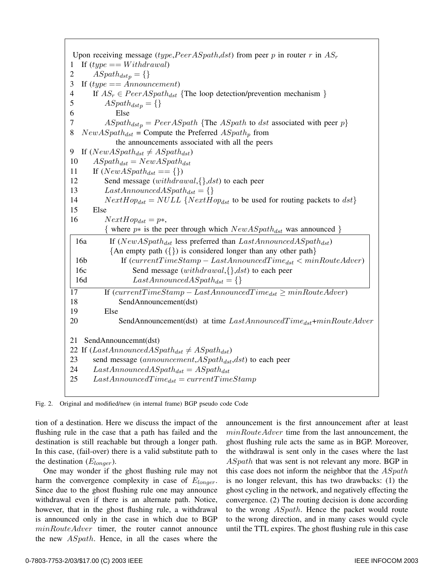|                | Upon receiving message (type, Peer AS path, dst) from peer p in router r in $AS_r$    |  |  |  |
|----------------|---------------------------------------------------------------------------------------|--|--|--|
| $\mathbf{1}$   | If $(type == Without$                                                                 |  |  |  |
| $\mathfrak{2}$ | $ASpath_{dstp} = \{\}$                                                                |  |  |  |
| 3              | If $(type == Announcement)$                                                           |  |  |  |
| 4              | If $AS_r \in PeerASpath_{dst}$ {The loop detection/prevention mechanism }             |  |  |  |
| 5              | $ASpath_{dst_p} = \{\}$                                                               |  |  |  |
| 6              | Else                                                                                  |  |  |  |
| 7              | $ASpath_{dstp} = PeerASpath$ {The ASpath to dst associated with peer p}               |  |  |  |
| 8              | $NewAS path_{dst}$ = Compute the Preferred $AS path_p$ from                           |  |  |  |
|                | the announcements associated with all the peers                                       |  |  |  |
| 9              | If $(NewASpath_{dst} \neq ASpath_{dst})$                                              |  |  |  |
| 10             | $ASpath_{dst} = NewASpath_{dst}$                                                      |  |  |  |
| 11             | If $(NewASpath_{dst} == \{\})$                                                        |  |  |  |
| 12             | Send message $(withdrawal, \{ \},dst)$ to each peer                                   |  |  |  |
| 13             | $LastAn nonneedAS path_{dst} = \{\}$                                                  |  |  |  |
| 14             | $NextHop_{dst} = NULL \{NextHop_{dst}$ to be used for routing packets to dst          |  |  |  |
| 15             | Else                                                                                  |  |  |  |
| 16             | $NextHop_{dst} = p*,$                                                                 |  |  |  |
|                | { where $p*$ is the peer through which $NewAS path_{dst}$ was announced }             |  |  |  |
|                | 16a<br>If (NewASpath <sub>dst</sub> less preferred than $LastAn noncedASpath_{dst}$ ) |  |  |  |
|                | {An empty path $({})$ is considered longer than any other path}                       |  |  |  |
|                | 16 <sub>b</sub><br>If $(currentTimeStamp - LastAnrouncedTime_{dst} < minRootedver)$   |  |  |  |
|                | 16c<br>Send message (withdrawal, $\{ \}$ , dst) to each peer                          |  |  |  |
|                | 16d<br>$LastAn nonneedAS path_{dst} = \{\}$                                           |  |  |  |
| 17             | If $(current TimeStamp - LastAnrouncedTime_{dst} \geq minRooteAdver)$                 |  |  |  |
| 18             | SendAnnouncement(dst)                                                                 |  |  |  |
| 19             | Else                                                                                  |  |  |  |
| 20             | SendAnnouncement(dst) at time $LastAnnouncedTime_{dst} + minRooteAdver$               |  |  |  |
|                |                                                                                       |  |  |  |
| 21             | SendAnnouncemnt(dst)                                                                  |  |  |  |
|                | 22 If $(LastAnnouncedASpath_{dst} \neq ASpath_{dst})$                                 |  |  |  |
| 23             | send message (announcement, $ASpath_{dst}$ , dst) to each peer                        |  |  |  |
| 24             | $LastAn nonneedAS path_{dst} = AS path_{dst}$                                         |  |  |  |
| 25             | $LastAn noncedTime_{dst} = currentTimeStamp$                                          |  |  |  |
|                |                                                                                       |  |  |  |

Fig. 2. Original and modified/new (in internal frame) BGP pseudo code Code

tion of a destination. Here we discuss the impact of the flushing rule in the case that a path has failed and the destination is still reachable but through a longer path. In this case, (fail-over) there is a valid substitute path to the destination (*Elonger*).

One may wonder if the ghost flushing rule may not harm the convergence complexity in case of *Elonger*. Since due to the ghost flushing rule one may announce withdrawal even if there is an alternate path. Notice, however, that in the ghost flushing rule, a withdrawal is announced only in the case in which due to BGP *minRouteAdver* timer, the router cannot announce the new *ASpath*. Hence, in all the cases where the announcement is the first announcement after at least *minRouteAdver* time from the last announcement, the ghost flushing rule acts the same as in BGP. Moreover, the withdrawal is sent only in the cases where the last *ASpath* that was sent is not relevant any more. BGP in this case does not inform the neighbor that the *ASpath* is no longer relevant, this has two drawbacks: (1) the ghost cycling in the network, and negatively effecting the convergence. (2) The routing decision is done according to the wrong *ASpath*. Hence the packet would route to the wrong direction, and in many cases would cycle until the TTL expires. The ghost flushing rule in this case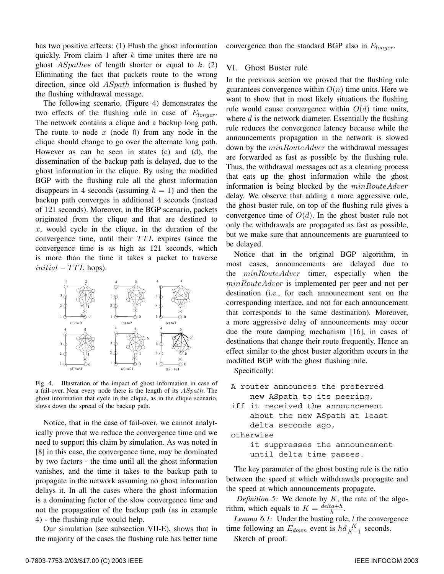has two positive effects: (1) Flush the ghost information quickly. From claim 1 after *k* time unites there are no ghost *ASpathes* of length shorter or equal to *k*. (2) Eliminating the fact that packets route to the wrong direction, since old *ASpath* information is flushed by the flushing withdrawal message.

The following scenario, (Figure 4) demonstrates the two effects of the flushing rule in case of *Elonger*. The network contains a clique and a backup long path. The route to node *x* (node 0) from any node in the clique should change to go over the alternate long path. However as can be seen in states (c) and (d), the dissemination of the backup path is delayed, due to the ghost information in the clique. By using the modified BGP with the flushing rule all the ghost information disappears in 4 seconds (assuming  $h = 1$ ) and then the backup path converges in additional 4 seconds (instead of 121 seconds). Moreover, in the BGP scenario, packets originated from the clique and that are destined to *x*, would cycle in the clique, in the duration of the convergence time, until their *TTL* expires (since the convergence time is as high as 121 seconds, which is more than the time it takes a packet to traverse *initial − TTL* hops).



Fig. 4. Illustration of the impact of ghost information in case of a fail-over. Near every node there is the length of its *ASpath*. The ghost information that cycle in the clique, as in the clique scenario, slows down the spread of the backup path.

Notice, that in the case of fail-over, we cannot analytically prove that we reduce the convergence time and we need to support this claim by simulation. As was noted in [8] in this case, the convergence time, may be dominated by two factors - the time until all the ghost information vanishes, and the time it takes to the backup path to propagate in the network assuming no ghost information delays it. In all the cases where the ghost information is a dominating factor of the slow convergence time and not the propagation of the backup path (as in example 4) - the flushing rule would help.

Our simulation (see subsection VII-E), shows that in the majority of the cases the flushing rule has better time convergence than the standard BGP also in *Elonger*.

## VI. Ghost Buster rule

In the previous section we proved that the flushing rule guarantees convergence within  $O(n)$  time units. Here we want to show that in most likely situations the flushing rule would cause convergence within  $O(d)$  time units, where *d* is the network diameter. Essentially the flushing rule reduces the convergence latency because while the announcements propagation in the network is slowed down by the *minRouteAdver* the withdrawal messages are forwarded as fast as possible by the flushing rule. Thus, the withdrawal messages act as a cleaning process that eats up the ghost information while the ghost information is being blocked by the *minRouteAdver* delay. We observe that adding a more aggressive rule, the ghost buster rule, on top of the flushing rule gives a convergence time of  $O(d)$ . In the ghost buster rule not only the withdrawals are propagated as fast as possible, but we make sure that announcements are guaranteed to be delayed.

Notice that in the original BGP algorithm, in most cases, announcements are delayed due to the *minRouteAdver* timer, especially when the *minRouteAdver* is implemented per peer and not per destination (i.e., for each announcement sent on the corresponding interface, and not for each announcement that corresponds to the same destination). Moreover, a more aggressive delay of announcements may occur due the route damping mechanism [16], in cases of destinations that change their route frequently. Hence an effect similar to the ghost buster algorithm occurs in the modified BGP with the ghost flushing rule.

Specifically:

```
A router announces the preferred
    new ASpath to its peering,
iff it received the announcement
```

```
about the new ASpath at least
delta seconds ago,
```
otherwise

it suppresses the announcement until delta time passes.

The key parameter of the ghost busting rule is the ratio between the speed at which withdrawals propagate and the speed at which announcements propagate.

*Definition 5:* We denote by  $K$ , the rate of the algorithm, which equals to  $K = \frac{delta + h}{h}$ .

*Lemma 6.1:* Under the busting rule, *t* the convergence time following an  $E_{down}$  event is  $hd \frac{K}{K-1}$  seconds. Sketch of proof: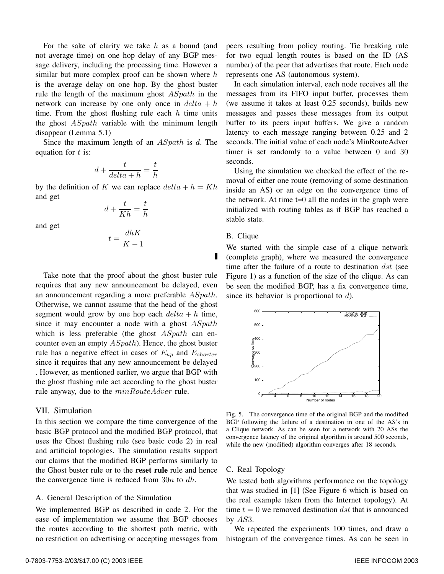For the sake of clarity we take *h* as a bound (and not average time) on one hop delay of any BGP message delivery, including the processing time. However a similar but more complex proof can be shown where *h* is the average delay on one hop. By the ghost buster rule the length of the maximum ghost *ASpath* in the network can increase by one only once in  $delta + h$ time. From the ghost flushing rule each *h* time units the ghost *ASpath* variable with the minimum length disappear (Lemma 5.1)

Since the maximum length of an *ASpath* is *d*. The equation for *t* is:

$$
d+\frac{t}{delta+h}=\frac{t}{h}
$$

by the definition of *K* we can replace  $delta + h = Kh$ and get

$$
d + \frac{t}{Kh} = \frac{t}{h}
$$

and get



Take note that the proof about the ghost buster rule requires that any new announcement be delayed, even an announcement regarding a more preferable *ASpath*. Otherwise, we cannot assume that the head of the ghost segment would grow by one hop each  $delta + h$  time, since it may encounter a node with a ghost *ASpath* which is less preferable (the ghost *ASpath* can encounter even an empty *ASpath*). Hence, the ghost buster rule has a negative effect in cases of *Eup* and *Eshorter* since it requires that any new announcement be delayed . However, as mentioned earlier, we argue that BGP with the ghost flushing rule act according to the ghost buster rule anyway, due to the *minRouteAdver* rule.

#### VII. Simulation

In this section we compare the time convergence of the basic BGP protocol and the modified BGP protocol, that uses the Ghost flushing rule (see basic code 2) in real and artificial topologies. The simulation results support our claims that the modified BGP performs similarly to the Ghost buster rule or to the **reset rule** rule and hence the convergence time is reduced from 30*n* to *dh*.

#### A. General Description of the Simulation

We implemented BGP as described in code 2. For the ease of implementation we assume that BGP chooses the routes according to the shortest path metric, with no restriction on advertising or accepting messages from peers resulting from policy routing. Tie breaking rule for two equal length routes is based on the ID (AS number) of the peer that advertises that route. Each node represents one AS (autonomous system).

In each simulation interval, each node receives all the messages from its FIFO input buffer, processes them (we assume it takes at least 0.25 seconds), builds new messages and passes these messages from its output buffer to its peers input buffers. We give a random latency to each message ranging between 0.25 and 2 seconds. The initial value of each node's MinRouteAdver timer is set randomly to a value between 0 and 30 seconds.

Using the simulation we checked the effect of the removal of either one route (removing of some destination inside an AS) or an edge on the convergence time of the network. At time  $t=0$  all the nodes in the graph were initialized with routing tables as if BGP has reached a stable state.

#### B. Clique

Ш

We started with the simple case of a clique network (complete graph), where we measured the convergence time after the failure of a route to destination *dst* (see Figure 1) as a function of the size of the clique. As can be seen the modified BGP, has a fix convergence time, since its behavior is proportional to *d*).



Fig. 5. The convergence time of the original BGP and the modified BGP following the failure of a destination in one of the AS's in a Clique network. As can be seen for a network with 20 ASs the convergence latency of the original algorithm is around 500 seconds, while the new (modified) algorithm converges after 18 seconds.

#### C. Real Topology

We tested both algorithms performance on the topology that was studied in [1] (See Figure 6 which is based on the real example taken from the Internet topology). At time  $t = 0$  we removed destination  $\frac{ds}{dt}$  that is announced by *AS*3.

We repeated the experiments 100 times, and draw a histogram of the convergence times. As can be seen in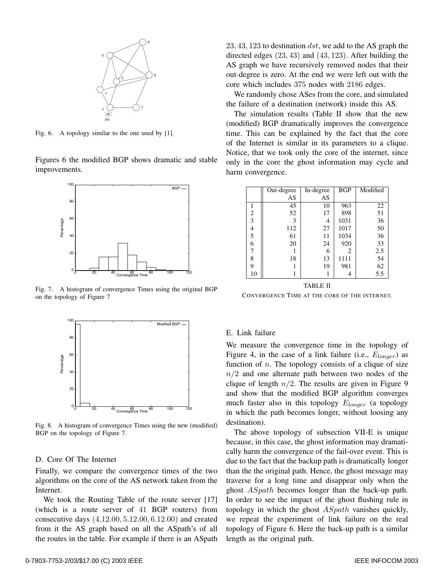

Fig. 6. A topology similar to the one used by [1].

Figures 6 the modified BGP shows dramatic and stable improvements.



Fig. 7. A histogram of convergence Times using the original BGP on the topology of Figure 7



Fig. 8. A histogram of convergence Times using the new (modified) BGP on the topology of Figure 7.

## D. Core Of The Internet

Finally, we compare the convergence times of the two algorithms on the core of the AS network taken from the Internet.

We took the Routing Table of the route server [17] (which is a route server of 41 BGP routers) from consecutive days (4*.*12*.*00*,* 5*.*12*.*00*,* 6*.*12*.*00) and created from it the AS graph based on all the ASpath's of all the routes in the table. For example if there is an ASpath

23*,* 43*,* 123 to destination *dst*, we add to the AS graph the directed edges (23*,* 43) and (43*,* 123). After building the AS graph we have recursively removed nodes that their out-degree is zero. At the end we were left out with the core which includes 375 nodes with 2186 edges.

We randomly chose ASes from the core, and simulated the failure of a destination (network) inside this AS.

The simulation results (Table II show that the new (modified) BGP dramatically improves the convergence time. This can be explained by the fact that the core of the Internet is similar in its parameters to a clique. Notice, that we took only the core of the internet, since only in the core the ghost information may cycle and harm convergence.

|                | $\overline{O}$ ut-degree | In-degree | <b>BGP</b>                  | Modified |
|----------------|--------------------------|-----------|-----------------------------|----------|
|                | AS                       | AS        |                             |          |
| 1              | 45                       | 10        | 963                         | 22       |
| $\overline{c}$ | 52                       | 17        | 898                         | 51       |
| 3              | 3                        | 4         | 1031                        | 36       |
| 4              | 112                      | 27        | 1017                        | 50       |
| 5              | 61                       | 11        | 1034                        | 36       |
| 6              | 20                       | 24        | 920                         | 33       |
| 7              |                          | 6         | $\mathcal{D}_{\mathcal{L}}$ | 2.5      |
| 8              | 18                       | 13        | 1111                        | 54       |
| 9              |                          | 19        | 981                         | 62       |
| 10             |                          | 1         |                             | 5.5      |
| TABLE II       |                          |           |                             |          |

CONVERGENCE TIME AT THE CORE OF THE INTERNET.

#### E. Link failure

We measure the convergence time in the topology of Figure 4, in the case of a link failure (i.e., *Elonger*) as function of *n*. The topology consists of a clique of size *n/*2 and one alternate path between two nodes of the clique of length  $n/2$ . The results are given in Figure 9 and show that the modified BGP algorithm converges much faster also in this topology *Elonger* (a topology in which the path becomes longer, without loosing any destination).

The above topology of subsection VII-E is unique because, in this case, the ghost information may dramatically harm the convergence of the fail-over event. This is due to the fact that the backup path is dramatically longer than the the original path. Hence, the ghost message may traverse for a long time and disappear only when the ghost *ASpath* becomes longer than the back-up path. In order to see the impact of the ghost flushing rule in topology in which the ghost *ASpath* vanishes quickly, we repeat the experiment of link failure on the real topology of Figure 6. Here the back-up path is a similar length as the original path.